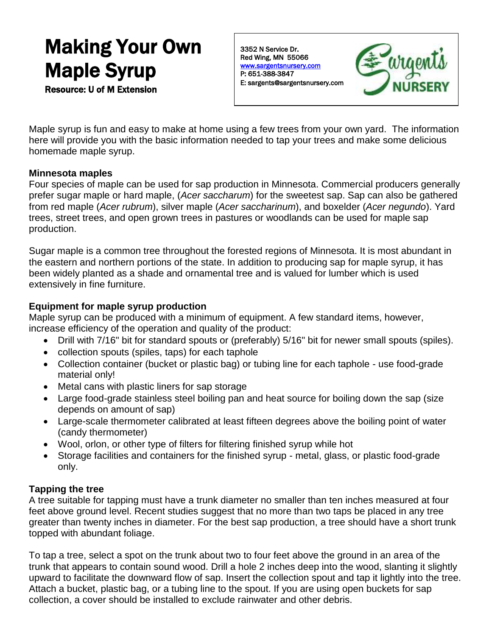# Making Your Own Maple Syrup Resource: U of M Extension

3352 N Service Dr. Red Wing, MN 55066 [www.sargentsnursery.com](http://www.sargentsnursery.com/)  P: 651-388-3847 E: sargents@sargentsnursery.com



Maple syrup is fun and easy to make at home using a few trees from your own yard. The information here will provide you with the basic information needed to tap your trees and make some delicious homemade maple syrup.

## **Minnesota maples**

Four species of maple can be used for sap production in Minnesota. Commercial producers generally prefer sugar maple or hard maple, (*Acer saccharum*) for the sweetest sap. Sap can also be gathered from red maple (*Acer rubrum*), silver maple (*Acer saccharinum*), and boxelder (*Acer negundo*). Yard trees, street trees, and open grown trees in pastures or woodlands can be used for maple sap production.

Sugar maple is a common tree throughout the forested regions of Minnesota. It is most abundant in the eastern and northern portions of the state. In addition to producing sap for maple syrup, it has been widely planted as a shade and ornamental tree and is valued for lumber which is used extensively in fine furniture.

## **Equipment for maple syrup production**

Maple syrup can be produced with a minimum of equipment. A few standard items, however, increase efficiency of the operation and quality of the product:

- Drill with 7/16" bit for standard spouts or (preferably) 5/16" bit for newer small spouts (spiles).
- collection spouts (spiles, taps) for each taphole
- Collection container (bucket or plastic bag) or tubing line for each taphole use food-grade material only!
- Metal cans with plastic liners for sap storage
- Large food-grade stainless steel boiling pan and heat source for boiling down the sap (size depends on amount of sap)
- Large-scale thermometer calibrated at least fifteen degrees above the boiling point of water (candy thermometer)
- Wool, orlon, or other type of filters for filtering finished syrup while hot
- Storage facilities and containers for the finished syrup metal, glass, or plastic food-grade only.

## **Tapping the tree**

A tree suitable for tapping must have a trunk diameter no smaller than ten inches measured at four feet above ground level. Recent studies suggest that no more than two taps be placed in any tree greater than twenty inches in diameter. For the best sap production, a tree should have a short trunk topped with abundant foliage.

To tap a tree, select a spot on the trunk about two to four feet above the ground in an area of the trunk that appears to contain sound wood. Drill a hole 2 inches deep into the wood, slanting it slightly upward to facilitate the downward flow of sap. Insert the collection spout and tap it lightly into the tree. Attach a bucket, plastic bag, or a tubing line to the spout. If you are using open buckets for sap collection, a cover should be installed to exclude rainwater and other debris.